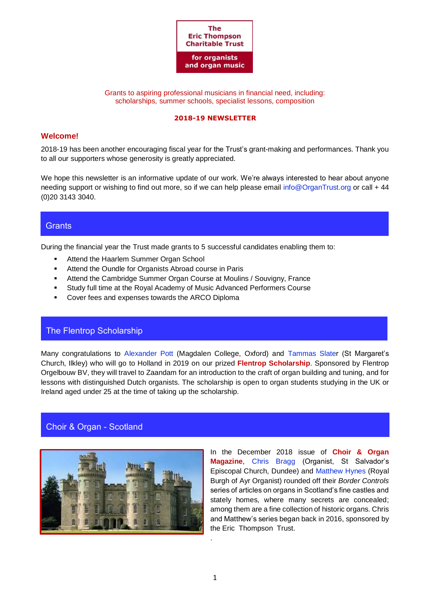

Grants to aspiring professional musicians in financial need, including: scholarships, summer schools, specialist lessons, composition

#### **2018-19 NEWSLETTER**

### **Welcome!**

2018-19 has been another encouraging fiscal year for the Trust's grant-making and performances. Thank you to all our supporters whose generosity is greatly appreciated.

We hope this newsletter is an informative update of our work. We're always interested to hear about anyone needing support or wishing to find out more, so if we can help please email [info@OrganTrust.org](mailto:info@OrganTrust.org) or call + 44 (0)20 3143 3040.

## **Grants**

During the financial year the Trust made grants to 5 successful candidates enabling them to:

- Attend the Haarlem Summer Organ School
- **■** Attend the Oundle for Organists Abroad course in Paris
- Attend the Cambridge Summer Organ Course at Moulins / Souvigny, France
- Study full time at the Royal Academy of Music Advanced Performers Course
- Cover fees and expenses towards the ARCO Diploma

# The Flentrop Scholarship

Many congratulations to Alexander Pott (Magdalen College, Oxford) and Tammas Slater (St Margaret's Church, Ilkley) who will go to Holland in 2019 on our prized **Flentrop Scholarship**. Sponsored by Flentrop Orgelbouw BV, they will travel to Zaandam for an introduction to the craft of organ building and tuning, and for lessons with distinguished Dutch organists. The scholarship is open to organ students studying in the UK or Ireland aged under 25 at the time of taking up the scholarship.

## Choir & Organ - Scotland



In the December 2018 issue of **Choir & Organ Magazine**, Chris Bragg (Organist, St Salvador's Episcopal Church, Dundee) and Matthew Hynes (Royal Burgh of Ayr Organist) rounded off their *Border Controls* series of articles on organs in Scotland's fine castles and stately homes, where many secrets are concealed; among them are a fine collection of historic organs. Chris and Matthew's series began back in 2016, sponsored by the Eric Thompson Trust.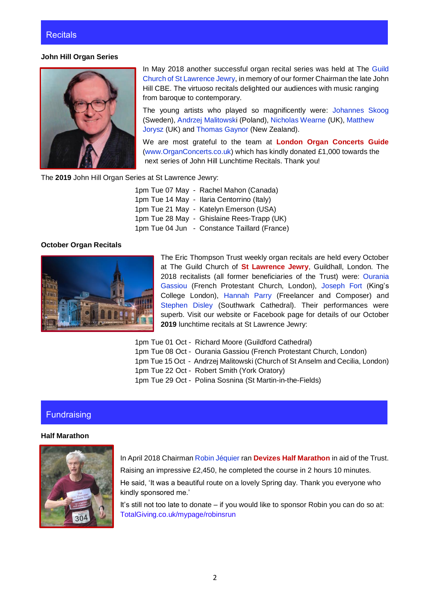## **John Hill Organ Series**



In May 2018 another successful organ recital series was held at The Guild Church of St Lawrence Jewry, in memoryof our former Chairman the late John Hill CBE. The virtuoso recitals delighted our audiences with music ranging from baroque to contemporary.

The young artists who played so magnificently were: Johannes Skoog (Sweden), Andrzej Malitowski (Poland), Nicholas Wearne (UK), Matthew Jorysz (UK) and Thomas Gaynor (New Zealand).

We are most grateful to the team at **London Organ Concerts Guide** [\(www.OrganConcerts.co.uk\)](http://www.organconcerts.co.uk/) which has kindly donated £1,000 towards the next series of John Hill Lunchtime Recitals. Thank you!

The **2019** John Hill Organ Series at St Lawrence Jewry:

 1pm Tue 07 May - Rachel Mahon (Canada) 1pm Tue 14 May - Ilaria Centorrino (Italy) 1pm Tue 21 May - Katelyn Emerson (USA) 1pm Tue 28 May - Ghislaine Rees-Trapp (UK) 1pm Tue 04 Jun - Constance Taillard (France)

### **October Organ Recitals**



The Eric Thompson Trust weekly organ recitals are held every October at The Guild Church of **St Lawrence Jewry**, Guildhall, London. The 2018 recitalists (all former beneficiaries of the Trust) were: Ourania Gassiou (French Protestant Church, London), Joseph Fort (King's College London), Hannah Parry (Freelancer and Composer) and Stephen Disley (Southwark Cathedral). Their performances were superb. Visit our website or Facebook page for details of our October **2019** lunchtime recitals at St Lawrence Jewry:

 1pm Tue 01 Oct - Richard Moore (Guildford Cathedral) 1pm Tue 08 Oct - Ourania Gassiou (French Protestant Church, London) 1pm Tue 15 Oct - Andrzej Malitowski (Church of St Anselm and Cecilia, London) 1pm Tue 22 Oct - Robert Smith (York Oratory) 1pm Tue 29 Oct - Polina Sosnina (St Martin-in-the-Fields)

## **Fundraising**

#### **Half Marathon**



In April 2018 Chairman Robin Jéquier ran **Devizes Half Marathon** in aid of the Trust.

Raising an impressive £2,450, he completed the course in 2 hours 10 minutes.

He said, 'It was a beautiful route on a lovely Spring day. Thank you everyone who kindly sponsored me.'

It's still not too late to donate – if you would like to sponsor Robin you can do so at: [TotalGiving.co.uk/mypage/robinsrun](https://www.totalgiving.co.uk/mypage/robinsrun)